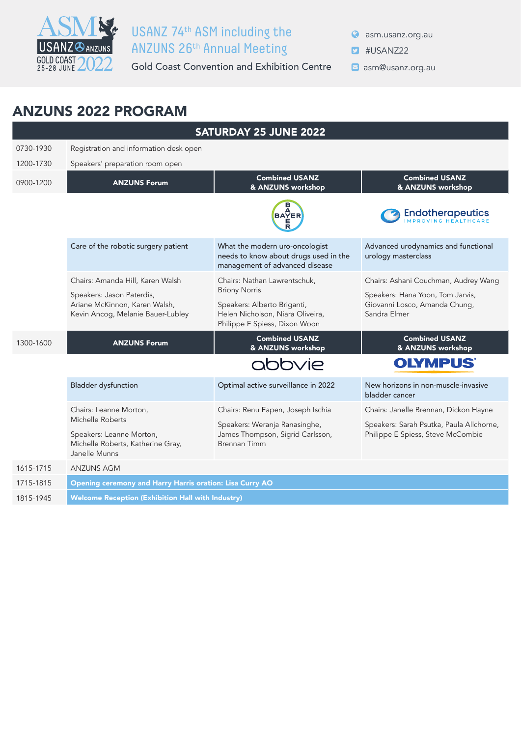

## ASM SE USANZ 74th ASM including the ANZUNS 26th Annual Meeting

Gold Coast Convention and Exhibition Centre **Dame Constanz.org.au** 

asm.usanz.org.au

- **D** #USANZ22
	-

## ANZUNS 2022 PROGRAM

| <b>SATURDAY 25 JUNE 2022</b> |                                                                                                 |                                                                                                                          |                                                                                   |  |
|------------------------------|-------------------------------------------------------------------------------------------------|--------------------------------------------------------------------------------------------------------------------------|-----------------------------------------------------------------------------------|--|
| 0730-1930                    | Registration and information desk open                                                          |                                                                                                                          |                                                                                   |  |
| 1200-1730                    | Speakers' preparation room open                                                                 |                                                                                                                          |                                                                                   |  |
| 0900-1200                    | <b>ANZUNS Forum</b>                                                                             | <b>Combined USANZ</b><br>& ANZUNS workshop                                                                               | <b>Combined USANZ</b><br>& ANZUNS workshop                                        |  |
|                              |                                                                                                 | <b>BAYER</b>                                                                                                             | <b>Endotherapeutics</b>                                                           |  |
|                              | Care of the robotic surgery patient                                                             | What the modern uro-oncologist<br>needs to know about drugs used in the<br>management of advanced disease                | Advanced urodynamics and functional<br>urology masterclass                        |  |
|                              | Chairs: Amanda Hill, Karen Walsh                                                                | Chairs: Nathan Lawrentschuk,                                                                                             | Chairs: Ashani Couchman, Audrey Wang                                              |  |
|                              | Speakers: Jason Paterdis,<br>Ariane McKinnon, Karen Walsh,<br>Kevin Ancog, Melanie Bauer-Lubley | <b>Briony Norris</b><br>Speakers: Alberto Briganti,<br>Helen Nicholson, Niara Oliveira,<br>Philippe E Spiess, Dixon Woon | Speakers: Hana Yoon, Tom Jarvis,<br>Giovanni Losco, Amanda Chung,<br>Sandra Elmer |  |
| 1300-1600                    | <b>ANZUNS Forum</b>                                                                             | <b>Combined USANZ</b><br>& ANZUNS workshop                                                                               | <b>Combined USANZ</b><br>& ANZUNS workshop                                        |  |
|                              |                                                                                                 | abbvie                                                                                                                   | <b>OLYMPUS®</b>                                                                   |  |
|                              | <b>Bladder dysfunction</b>                                                                      | Optimal active surveillance in 2022                                                                                      | New horizons in non-muscle-invasive<br>bladder cancer                             |  |
|                              | Chairs: Leanne Morton,                                                                          | Chairs: Renu Eapen, Joseph Ischia                                                                                        | Chairs: Janelle Brennan, Dickon Hayne                                             |  |
|                              | Michelle Roberts                                                                                | Speakers: Weranja Ranasinghe,                                                                                            | Speakers: Sarah Psutka, Paula Allchorne,                                          |  |
|                              | Speakers: Leanne Morton,<br>Michelle Roberts, Katherine Gray,                                   | James Thompson, Sigrid Carlsson,<br><b>Brennan Timm</b>                                                                  | Philippe E Spiess, Steve McCombie                                                 |  |
|                              | Janelle Munns                                                                                   |                                                                                                                          |                                                                                   |  |
| 1615-1715                    | <b>ANZUNS AGM</b>                                                                               |                                                                                                                          |                                                                                   |  |
| 1715-1815                    | Opening ceremony and Harry Harris oration: Lisa Curry AO                                        |                                                                                                                          |                                                                                   |  |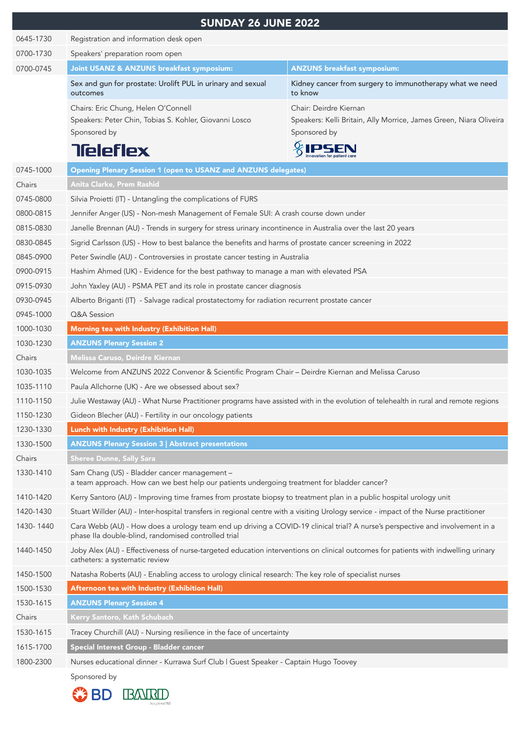|           | <b>SUNDAY 26 JUNE 2022</b>                                                                                                                                                           |                                                                     |  |  |
|-----------|--------------------------------------------------------------------------------------------------------------------------------------------------------------------------------------|---------------------------------------------------------------------|--|--|
| 0645-1730 | Registration and information desk open                                                                                                                                               |                                                                     |  |  |
| 0700-1730 | Speakers' preparation room open                                                                                                                                                      |                                                                     |  |  |
| 0700-0745 | Joint USANZ & ANZUNS breakfast symposium:                                                                                                                                            | <b>ANZUNS breakfast symposium:</b>                                  |  |  |
|           | Sex and gun for prostate: Urolift PUL in urinary and sexual<br>outcomes                                                                                                              | Kidney cancer from surgery to immunotherapy what we need<br>to know |  |  |
|           | Chairs: Eric Chung, Helen O'Connell                                                                                                                                                  | Chair: Deirdre Kiernan                                              |  |  |
|           | Speakers: Peter Chin, Tobias S. Kohler, Giovanni Losco                                                                                                                               | Speakers: Kelli Britain, Ally Morrice, James Green, Niara Oliveira  |  |  |
|           | Sponsored by                                                                                                                                                                         | Sponsored by                                                        |  |  |
|           | <b>Tieleflex</b>                                                                                                                                                                     |                                                                     |  |  |
| 0745-1000 | <b>Opening Plenary Session 1 (open to USANZ and ANZUNS delegates)</b>                                                                                                                |                                                                     |  |  |
| Chairs    | Anita Clarke, Prem Rashid                                                                                                                                                            |                                                                     |  |  |
| 0745-0800 | Silvia Proietti (IT) - Untangling the complications of FURS                                                                                                                          |                                                                     |  |  |
| 0800-0815 | Jennifer Anger (US) - Non-mesh Management of Female SUI: A crash course down under                                                                                                   |                                                                     |  |  |
| 0815-0830 | Janelle Brennan (AU) - Trends in surgery for stress urinary incontinence in Australia over the last 20 years                                                                         |                                                                     |  |  |
| 0830-0845 | Sigrid Carlsson (US) - How to best balance the benefits and harms of prostate cancer screening in 2022                                                                               |                                                                     |  |  |
| 0845-0900 | Peter Swindle (AU) - Controversies in prostate cancer testing in Australia                                                                                                           |                                                                     |  |  |
| 0900-0915 | Hashim Ahmed (UK) - Evidence for the best pathway to manage a man with elevated PSA                                                                                                  |                                                                     |  |  |
| 0915-0930 | John Yaxley (AU) - PSMA PET and its role in prostate cancer diagnosis                                                                                                                |                                                                     |  |  |
| 0930-0945 | Alberto Briganti (IT) - Salvage radical prostatectomy for radiation recurrent prostate cancer                                                                                        |                                                                     |  |  |
| 0945-1000 | Q&A Session                                                                                                                                                                          |                                                                     |  |  |
| 1000-1030 | Morning tea with Industry (Exhibition Hall)                                                                                                                                          |                                                                     |  |  |
| 1030-1230 | <b>ANZUNS Plenary Session 2</b>                                                                                                                                                      |                                                                     |  |  |
| Chairs    | Melissa Caruso, Deirdre Kiernan                                                                                                                                                      |                                                                     |  |  |
| 1030-1035 | Welcome from ANZUNS 2022 Convenor & Scientific Program Chair - Deirdre Kiernan and Melissa Caruso                                                                                    |                                                                     |  |  |
| 1035-1110 | Paula Allchorne (UK) - Are we obsessed about sex?                                                                                                                                    |                                                                     |  |  |
| 1110-1150 | Julie Westaway (AU) - What Nurse Practitioner programs have assisted with in the evolution of telehealth in rural and remote regions                                                 |                                                                     |  |  |
| 1150-1230 | Gideon Blecher (AU) - Fertility in our oncology patients                                                                                                                             |                                                                     |  |  |
| 1230-1330 | Lunch with Industry (Exhibition Hall)                                                                                                                                                |                                                                     |  |  |
| 1330-1500 | <b>ANZUNS Plenary Session 3   Abstract presentations</b>                                                                                                                             |                                                                     |  |  |
| Chairs    | <b>Sheree Dunne, Sally Sara</b>                                                                                                                                                      |                                                                     |  |  |
| 1330-1410 | Sam Chang (US) - Bladder cancer management -<br>a team approach. How can we best help our patients undergoing treatment for bladder cancer?                                          |                                                                     |  |  |
| 1410-1420 | Kerry Santoro (AU) - Improving time frames from prostate biopsy to treatment plan in a public hospital urology unit                                                                  |                                                                     |  |  |
| 1420-1430 | Stuart Willder (AU) - Inter-hospital transfers in regional centre with a visiting Urology service - impact of the Nurse practitioner                                                 |                                                                     |  |  |
| 1430-1440 | Cara Webb (AU) - How does a urology team end up driving a COVID-19 clinical trial? A nurse's perspective and involvement in a<br>phase IIa double-blind, randomised controlled trial |                                                                     |  |  |
| 1440-1450 | Joby Alex (AU) - Effectiveness of nurse-targeted education interventions on clinical outcomes for patients with indwelling urinary<br>catheters: a systematic review                 |                                                                     |  |  |
| 1450-1500 | Natasha Roberts (AU) - Enabling access to urology clinical research: The key role of specialist nurses                                                                               |                                                                     |  |  |
| 1500-1530 | Afternoon tea with Industry (Exhibition Hall)                                                                                                                                        |                                                                     |  |  |
| 1530-1615 | <b>ANZUNS Plenary Session 4</b>                                                                                                                                                      |                                                                     |  |  |
| Chairs    | Kerry Santoro, Kath Schubach                                                                                                                                                         |                                                                     |  |  |
| 1530-1615 | Tracey Churchill (AU) - Nursing resilience in the face of uncertainty                                                                                                                |                                                                     |  |  |
| 1615-1700 | Special Interest Group - Bladder cancer                                                                                                                                              |                                                                     |  |  |
| 1800-2300 | Nurses educational dinner - Kurrawa Surf Club   Guest Speaker - Captain Hugo Toovey                                                                                                  |                                                                     |  |  |
|           | Sponsored by                                                                                                                                                                         |                                                                     |  |  |